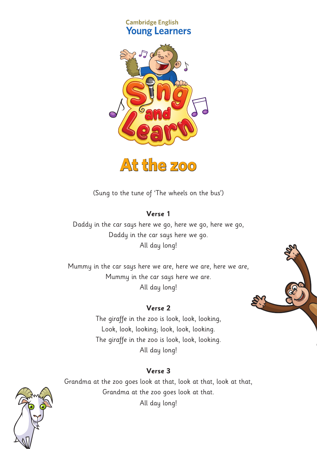#### **Cambridge English Young Learners**





(Sung to the tune of 'The wheels on the bus')

#### **Verse 1**

Daddy in the car says here we go, here we go, here we go, Daddy in the car says here we go. All day long!

Mummy in the car says here we are, here we are, here we are, Mummy in the car says here we are. All day long!

# **Verse 2**

The giraffe in the zoo is look, look, looking, Look, look, looking; look, look, looking. The giraffe in the zoo is look, look, looking. All day long!

### **Verse 3**